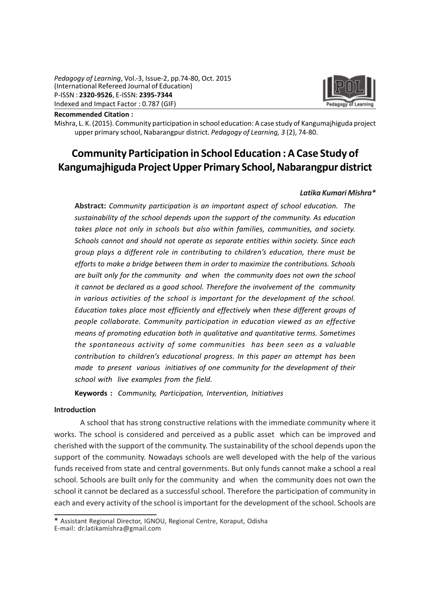

Recommended Citation :

Mishra, L. K. (2015). Community participation in school education: A case study of Kangumajhiguda project upper primary school, Nabarangpur district. Pedagogy of Learning, 3 (2), 74-80.

# Community Participation in School Education : A Case Study of Kangumajhiguda Project Upper Primary School, Nabarangpur district

# Latika Kumari Mishra\*

Abstract: Community participation is an important aspect of school education. The sustainability of the school depends upon the support of the community. As education takes place not only in schools but also within families, communities, and society. Schools cannot and should not operate as separate entities within society. Since each group plays a different role in contributing to children's education, there must be efforts to make a bridge between them in order to maximize the contributions. Schools are built only for the community and when the community does not own the school it cannot be declared as a good school. Therefore the involvement of the community in various activities of the school is important for the development of the school. Education takes place most efficiently and effectively when these different groups of people collaborate. Community participation in education viewed as an effective means of promoting education both in qualitative and quantitative terms. Sometimes the spontaneous activity of some communities has been seen as a valuable contribution to children's educational progress. In this paper an attempt has been made to present various initiatives of one community for the development of their school with live examples from the field.

Keywords : Community, Participation, Intervention, Initiatives

#### Introduction

A school that has strong constructive relations with the immediate community where it works. The school is considered and perceived as a public asset which can be improved and cherished with the support of the community. The sustainability of the school depends upon the support of the community. Nowadays schools are well developed with the help of the various funds received from state and central governments. But only funds cannot make a school a real school. Schools are built only for the community and when the community does not own the school it cannot be declared as a successful school. Therefore the participation of community in each and every activity of the school is important for the development of the school. Schools are

<sup>\*</sup> Assistant Regional Director, IGNOU, Regional Centre, Koraput, Odisha

E-mail: dr.latikamishra@gmail.com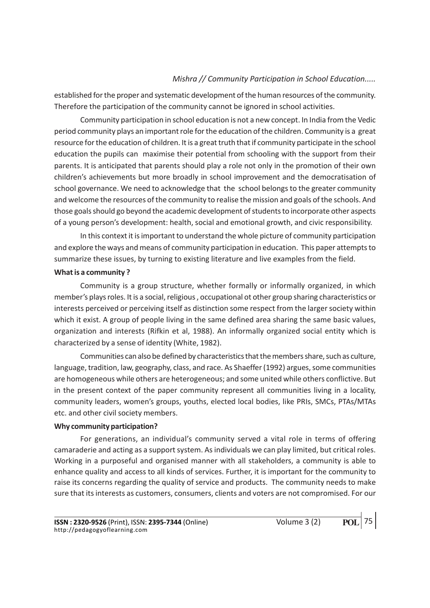established for the proper and systematic development of the human resources of the community. Therefore the participation of the community cannot be ignored in school activities.

Community participation in school education is not a new concept. In India from the Vedic period community plays an important role for the education of the children. Community is a great resource for the education of children. It is a great truth that if community participate in the school education the pupils can maximise their potential from schooling with the support from their parents. It is anticipated that parents should play a role not only in the promotion of their own children's achievements but more broadly in school improvement and the democratisation of school governance. We need to acknowledge that the school belongs to the greater community and welcome the resources of the community to realise the mission and goals of the schools. And those goals should go beyond the academic development of students to incorporate other aspects of a young person's development: health, social and emotional growth, and civic responsibility.

In this context it is important to understand the whole picture of community participation and explore the ways and means of community participation in education. This paper attempts to summarize these issues, by turning to existing literature and live examples from the field.

# What is a community ?

Community is a group structure, whether formally or informally organized, in which member's plays roles. It is a social, religious , occupational ot other group sharing characteristics or interests perceived or perceiving itself as distinction some respect from the larger society within which it exist. A group of people living in the same defined area sharing the same basic values, organization and interests (Rifkin et al, 1988). An informally organized social entity which is characterized by a sense of identity (White, 1982).

Communities can also be defined by characteristics that the members share, such as culture, language, tradition, law, geography, class, and race. As Shaeffer (1992) argues, some communities are homogeneous while others are heterogeneous; and some united while others conflictive. But in the present context of the paper community represent all communities living in a locality, community leaders, women's groups, youths, elected local bodies, like PRIs, SMCs, PTAs/MTAs etc. and other civil society members.

# Why community participation?

For generations, an individual's community served a vital role in terms of offering camaraderie and acting as a support system. As individuals we can play limited, but critical roles. Working in a purposeful and organised manner with all stakeholders, a community is able to enhance quality and access to all kinds of services. Further, it is important for the community to raise its concerns regarding the quality of service and products. The community needs to make sure that its interests as customers, consumers, clients and voters are not compromised. For our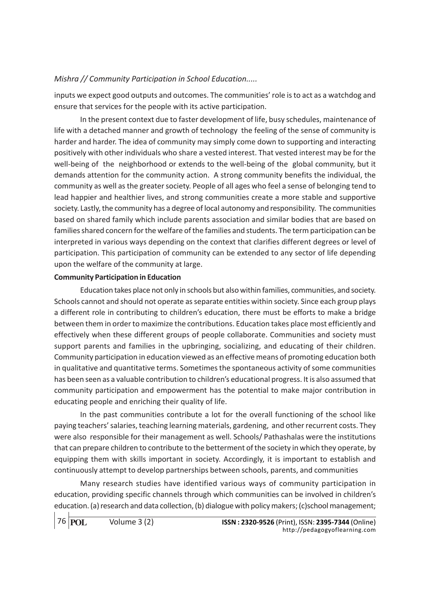inputs we expect good outputs and outcomes. The communities' role is to act as a watchdog and ensure that services for the people with its active participation.

In the present context due to faster development of life, busy schedules, maintenance of life with a detached manner and growth of technology the feeling of the sense of community is harder and harder. The idea of community may simply come down to supporting and interacting positively with other individuals who share a vested interest. That vested interest may be for the well-being of the neighborhood or extends to the well-being of the global community, but it demands attention for the community action. A strong community benefits the individual, the community as well as the greater society. People of all ages who feel a sense of belonging tend to lead happier and healthier lives, and strong communities create a more stable and supportive society. Lastly, the community has a degree of local autonomy and responsibility. The communities based on shared family which include parents association and similar bodies that are based on families shared concern for the welfare of the families and students. The term participation can be interpreted in various ways depending on the context that clarifies different degrees or level of participation. This participation of community can be extended to any sector of life depending upon the welfare of the community at large.

# Community Participation in Education

Education takes place not only in schools but also within families, communities, and society. Schools cannot and should not operate as separate entities within society. Since each group plays a different role in contributing to children's education, there must be efforts to make a bridge between them in order to maximize the contributions. Education takes place most efficiently and effectively when these different groups of people collaborate. Communities and society must support parents and families in the upbringing, socializing, and educating of their children. Community participation in education viewed as an effective means of promoting education both in qualitative and quantitative terms. Sometimes the spontaneous activity of some communities has been seen as a valuable contribution to children's educational progress. It is also assumed that community participation and empowerment has the potential to make major contribution in educating people and enriching their quality of life.

In the past communities contribute a lot for the overall functioning of the school like paying teachers' salaries, teaching learning materials, gardening, and other recurrent costs. They were also responsible for their management as well. Schools/ Pathashalas were the institutions that can prepare children to contribute to the betterment of the society in which they operate, by equipping them with skills important in society. Accordingly, it is important to establish and continuously attempt to develop partnerships between schools, parents, and communities

Many research studies have identified various ways of community participation in education, providing specific channels through which communities can be involved in children's education. (a) research and data collection, (b) dialogue with policy makers; (c)school management;

76 **POL**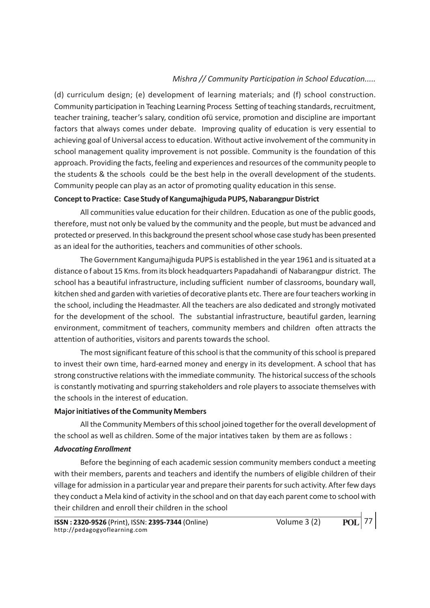(d) curriculum design; (e) development of learning materials; and (f) school construction. Community participation in Teaching Learning Process Setting of teaching standards, recruitment, teacher training, teacher's salary, condition ofü service, promotion and discipline are important factors that always comes under debate. Improving quality of education is very essential to achieving goal of Universal access to education. Without active involvement of the community in school management quality improvement is not possible. Community is the foundation of this approach. Providing the facts, feeling and experiences and resources of the community people to the students & the schools could be the best help in the overall development of the students. Community people can play as an actor of promoting quality education in this sense.

# Concept to Practice: Case Study of Kangumajhiguda PUPS, Nabarangpur District

All communities value education for their children. Education as one of the public goods, therefore, must not only be valued by the community and the people, but must be advanced and protected or preserved. In this background the present school whose case study has been presented as an ideal for the authorities, teachers and communities of other schools.

The Government Kangumajhiguda PUPS is established in the year 1961 and is situated at a distance o f about 15 Kms. from its block headquarters Papadahandi of Nabarangpur district. The school has a beautiful infrastructure, including sufficient number of classrooms, boundary wall, kitchen shed and garden with varieties of decorative plants etc. There are four teachers working in the school, including the Headmaster. All the teachers are also dedicated and strongly motivated for the development of the school. The substantial infrastructure, beautiful garden, learning environment, commitment of teachers, community members and children often attracts the attention of authorities, visitors and parents towards the school.

The most significant feature of this school is that the community of this school is prepared to invest their own time, hard-earned money and energy in its development. A school that has strong constructive relations with the immediate community. The historical success of the schools is constantly motivating and spurring stakeholders and role players to associate themselves with the schools in the interest of education.

# Major initiatives of the Community Members

All the Community Members of this school joined together for the overall development of the school as well as children. Some of the major intatives taken by them are as follows :

# Advocating Enrollment

Before the beginning of each academic session community members conduct a meeting with their members, parents and teachers and identify the numbers of eligible children of their village for admission in a particular year and prepare their parents for such activity. After few days they conduct a Mela kind of activity in the school and on that day each parent come to school with their children and enroll their children in the school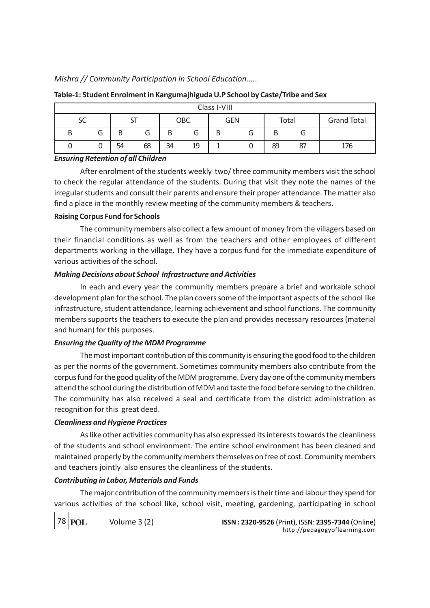| Class I-VIII |        |     |        |     |    |     |   |       |    |                    |
|--------------|--------|-----|--------|-----|----|-----|---|-------|----|--------------------|
| SC           |        | ا د |        | OBC |    | GEN |   | Total |    | <b>Grand Total</b> |
| D            | ⌒<br>O | B   | ⌒<br>G | B   |    | ь   | J |       | u  |                    |
|              |        | 54  | 68     | 34  | 19 |     |   | 89    | 87 | 176                |

# Table-1: Student Enrolment in Kangumajhiguda U.P School by Caste/Tribe and Sex

#### Ensuring Retention of all Children

After enrolment of the students weekly two/ three community members visit the school to check the regular attendance of the students. During that visit they note the names of the irregular students and consult their parents and ensure their proper attendance. The matter also find a place in the monthly review meeting of the community members & teachers.

# Raising Corpus Fund for Schools

The community members also collect a few amount of money from the villagers based on their financial conditions as well as from the teachers and other employees of different departments working in the village. They have a corpus fund for the immediate expenditure of various activities of the school.

# Making Decisions about School Infrastructure and Activities

In each and every year the community members prepare a brief and workable school development plan for the school. The plan covers some of the important aspects of the school like infrastructure, student attendance, learning achievement and school functions. The community members supports the teachers to execute the plan and provides necessary resources (material and human) for this purposes.

# Ensuring the Quality of the MDM Programme

The most important contribution of this community is ensuring the good food to the children as per the norms of the government. Sometimes community members also contribute from the corpus fund for the good quality of the MDM programme. Every day one of the community members attend the school during the distribution of MDM and taste the food before serving to the children. The community has also received a seal and certificate from the district administration as recognition for this great deed.

# Cleanliness and Hygiene Practices

As like other activities community has also expressed its interests towards the cleanliness of the students and school environment. The entire school environment has been cleaned and maintained properly by the community members themselves on free of cost. Community members and teachers jointly also ensures the cleanliness of the students.

# Contributing in Labor, Materials and Funds

The major contribution of the community members is their time and labour they spend for various activities of the school like, school visit, meeting, gardening, participating in school

78 **POL**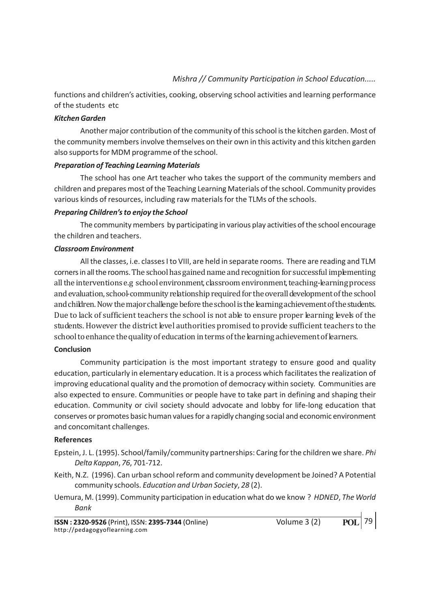functions and children's activities, cooking, observing school activities and learning performance of the students etc

#### Kitchen Garden

Another major contribution of the community of this school is the kitchen garden. Most of the community members involve themselves on their own in this activity and this kitchen garden also supports for MDM programme of the school.

# Preparation of Teaching Learning Materials

The school has one Art teacher who takes the support of the community members and children and prepares most of the Teaching Learning Materials of the school. Community provides various kinds of resources, including raw materials for the TLMs of the schools.

# Preparing Children's to enjoy the School

The community members by participating in various play activities of the school encourage the children and teachers.

# Classroom Environment

All the classes, i.e. classes I to VIII, are held in separate rooms. There are reading and TLM corners in all the rooms. The school has gained name and recognition for successful implementing all the interventions e.g school environment, classroom environment, teaching-learning process and evaluation, school-community relationship required for the overall development of the school and children. Now the major challenge before the school is the learning achievement of the students. Due to lack of sufficient teachers the school is not able to ensure proper learning levels of the students. However the district level authorities promised to provide sufficient teachers to the school to enhance the quality of education in terms of the learning achievement of learners.

# Conclusion

Community participation is the most important strategy to ensure good and quality education, particularly in elementary education. It is a process which facilitates the realization of improving educational quality and the promotion of democracy within society. Communities are also expected to ensure. Communities or people have to take part in defining and shaping their education. Community or civil society should advocate and lobby for life-long education that conserves or promotes basic human values for a rapidly changing social and economic environment and concomitant challenges.

#### References

- Epstein, J. L. (1995). School/family/community partnerships: Caring for the children we share. Phi Delta Kappan, 76, 701-712.
- Keith, N.Z. (1996). Can urban school reform and community development be Joined? A Potential community schools. Education and Urban Society, 28 (2).
- Uemura, M. (1999). Community participation in education what do we know ? HDNED, The World Bank